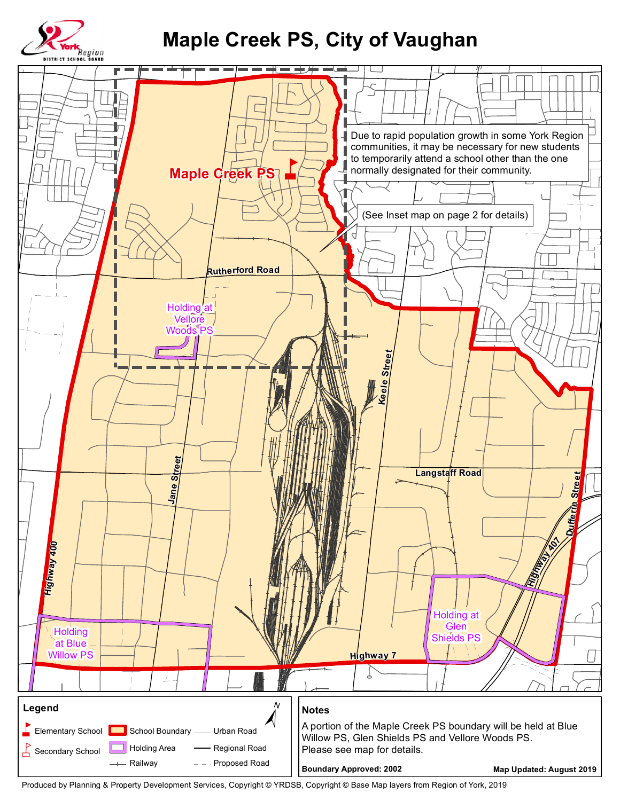

## **Maple Creek PS, City of Vaughan**



Produced by Planning & Property Development Services, Copyright © YRDSB, Copyright © Base Map layers from Region of York, 2019